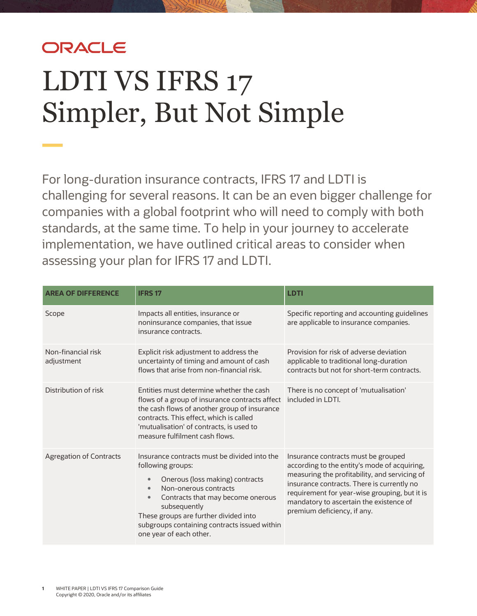## ORACLE

# LDTI VS IFRS 17 Simpler, But Not Simple

For long-duration insurance contracts, IFRS 17 and LDTI is challenging for several reasons. It can be an even bigger challenge for companies with a global footprint who will need to comply with both standards, at the same time. To help in your journey to accelerate implementation, we have outlined critical areas to consider when assessing your plan for IFRS 17 and LDTI.

| <b>AREA OF DIFFERENCE</b>        | <b>IFRS 17</b>                                                                                                                                                                                                                                                                                                                                | <b>LDTI</b>                                                                                                                                                                                                                                                                                                   |
|----------------------------------|-----------------------------------------------------------------------------------------------------------------------------------------------------------------------------------------------------------------------------------------------------------------------------------------------------------------------------------------------|---------------------------------------------------------------------------------------------------------------------------------------------------------------------------------------------------------------------------------------------------------------------------------------------------------------|
| Scope                            | Impacts all entities, insurance or<br>noninsurance companies, that issue<br>insurance contracts.                                                                                                                                                                                                                                              | Specific reporting and accounting guidelines<br>are applicable to insurance companies.                                                                                                                                                                                                                        |
| Non-financial risk<br>adjustment | Explicit risk adjustment to address the<br>uncertainty of timing and amount of cash<br>flows that arise from non-financial risk.                                                                                                                                                                                                              | Provision for risk of adverse deviation<br>applicable to traditional long-duration<br>contracts but not for short-term contracts.                                                                                                                                                                             |
| Distribution of risk             | Entities must determine whether the cash<br>flows of a group of insurance contracts affect<br>the cash flows of another group of insurance<br>contracts. This effect, which is called<br>'mutualisation' of contracts, is used to<br>measure fulfilment cash flows.                                                                           | There is no concept of 'mutualisation'<br>included in LDTI.                                                                                                                                                                                                                                                   |
| <b>Agregation of Contracts</b>   | Insurance contracts must be divided into the<br>following groups:<br>Onerous (loss making) contracts<br>$\bullet$<br>Non-onerous contracts<br>$\bullet$<br>Contracts that may become onerous<br>$\bullet$<br>subsequently<br>These groups are further divided into<br>subgroups containing contracts issued within<br>one year of each other. | Insurance contracts must be grouped<br>according to the entity's mode of acquiring,<br>measuring the profitability, and servicing of<br>insurance contracts. There is currently no<br>requirement for year-wise grouping, but it is<br>mandatory to ascertain the existence of<br>premium deficiency, if any. |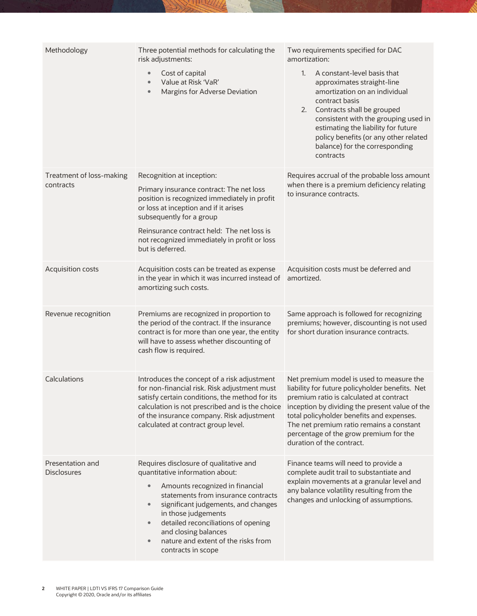| Methodology                            | Three potential methods for calculating the<br>risk adjustments:<br>Cost of capital<br>$\bullet$<br>Value at Risk 'VaR'<br>$\bullet$<br>Margins for Adverse Deviation<br>$\bullet$                                                                                                                                                                                                                | Two requirements specified for DAC<br>amortization:<br>A constant-level basis that<br>1.<br>approximates straight-line<br>amortization on an individual<br>contract basis<br>Contracts shall be grouped<br>2.<br>consistent with the grouping used in<br>estimating the liability for future<br>policy benefits (or any other related<br>balance) for the corresponding<br>contracts |
|----------------------------------------|---------------------------------------------------------------------------------------------------------------------------------------------------------------------------------------------------------------------------------------------------------------------------------------------------------------------------------------------------------------------------------------------------|--------------------------------------------------------------------------------------------------------------------------------------------------------------------------------------------------------------------------------------------------------------------------------------------------------------------------------------------------------------------------------------|
| Treatment of loss-making<br>contracts  | Recognition at inception:<br>Primary insurance contract: The net loss<br>position is recognized immediately in profit<br>or loss at inception and if it arises<br>subsequently for a group<br>Reinsurance contract held: The net loss is<br>not recognized immediately in profit or loss<br>but is deferred.                                                                                      | Requires accrual of the probable loss amount<br>when there is a premium deficiency relating<br>to insurance contracts.                                                                                                                                                                                                                                                               |
| Acquisition costs                      | Acquisition costs can be treated as expense<br>in the year in which it was incurred instead of<br>amortizing such costs.                                                                                                                                                                                                                                                                          | Acquisition costs must be deferred and<br>amortized.                                                                                                                                                                                                                                                                                                                                 |
| Revenue recognition                    | Premiums are recognized in proportion to<br>the period of the contract. If the insurance<br>contract is for more than one year, the entity<br>will have to assess whether discounting of<br>cash flow is required.                                                                                                                                                                                | Same approach is followed for recognizing<br>premiums; however, discounting is not used<br>for short duration insurance contracts.                                                                                                                                                                                                                                                   |
| Calculations                           | Introduces the concept of a risk adjustment<br>for non-financial risk. Risk adjustment must<br>satisfy certain conditions, the method for its<br>calculation is not prescribed and is the choice<br>of the insurance company. Risk adjustment<br>calculated at contract group level.                                                                                                              | Net premium model is used to measure the<br>liability for future policyholder benefits. Net<br>premium ratio is calculated at contract<br>inception by dividing the present value of the<br>total policyholder benefits and expenses.<br>The net premium ratio remains a constant<br>percentage of the grow premium for the<br>duration of the contract.                             |
| Presentation and<br><b>Disclosures</b> | Requires disclosure of qualitative and<br>quantitative information about:<br>Amounts recognized in financial<br>$\bullet$<br>statements from insurance contracts<br>significant judgements, and changes<br>$\bullet$<br>in those judgements<br>detailed reconciliations of opening<br>$\bullet$<br>and closing balances<br>nature and extent of the risks from<br>$\bullet$<br>contracts in scope | Finance teams will need to provide a<br>complete audit trail to substantiate and<br>explain movements at a granular level and<br>any balance volatility resulting from the<br>changes and unlocking of assumptions.                                                                                                                                                                  |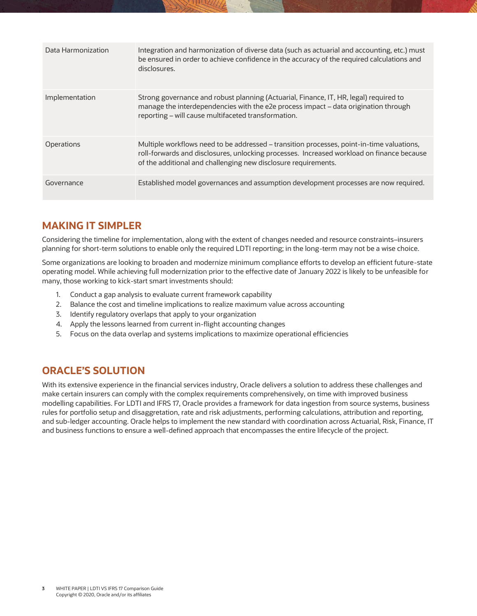| Data Harmonization | Integration and harmonization of diverse data (such as actuarial and accounting, etc.) must<br>be ensured in order to achieve confidence in the accuracy of the required calculations and<br>disclosures.                                                |
|--------------------|----------------------------------------------------------------------------------------------------------------------------------------------------------------------------------------------------------------------------------------------------------|
| Implementation     | Strong governance and robust planning (Actuarial, Finance, IT, HR, legal) required to<br>manage the interdependencies with the e2e process impact - data origination through<br>reporting - will cause multifaceted transformation.                      |
| <b>Operations</b>  | Multiple workflows need to be addressed – transition processes, point-in-time valuations,<br>roll-forwards and disclosures, unlocking processes. Increased workload on finance because<br>of the additional and challenging new disclosure requirements. |
| Governance         | Established model governances and assumption development processes are now required.                                                                                                                                                                     |

### **MAKING IT SIMPLER**

Considering the timeline for implementation, along with the extent of changes needed and resource constraints–insurers planning for short-term solutions to enable only the required LDTI reporting; in the long-term may not be a wise choice.

Some organizations are looking to broaden and modernize minimum compliance efforts to develop an efficient future-state operating model. While achieving full modernization prior to the effective date of January 2022 is likely to be unfeasible for many, those working to kick-start smart investments should:

- 1. Conduct a gap analysis to evaluate current framework capability
- 2. Balance the cost and timeline implications to realize maximum value across accounting
- 3. Identify regulatory overlaps that apply to your organization
- 4. Apply the lessons learned from current in-flight accounting changes
- 5. Focus on the data overlap and systems implications to maximize operational efficiencies

### **ORACLE'S SOLUTION**

With its extensive experience in the financial services industry, Oracle delivers a solution to address these challenges and make certain insurers can comply with the complex requirements comprehensively, on time with improved business modelling capabilities. For LDTI and IFRS 17, Oracle provides a framework for data ingestion from source systems, business rules for portfolio setup and disaggretation, rate and risk adjustments, performing calculations, attribution and reporting, and sub-ledger accounting. Oracle helps to implement the new standard with coordination across Actuarial, Risk, Finance, IT and business functions to ensure a well-defined approach that encompasses the entire lifecycle of the project.